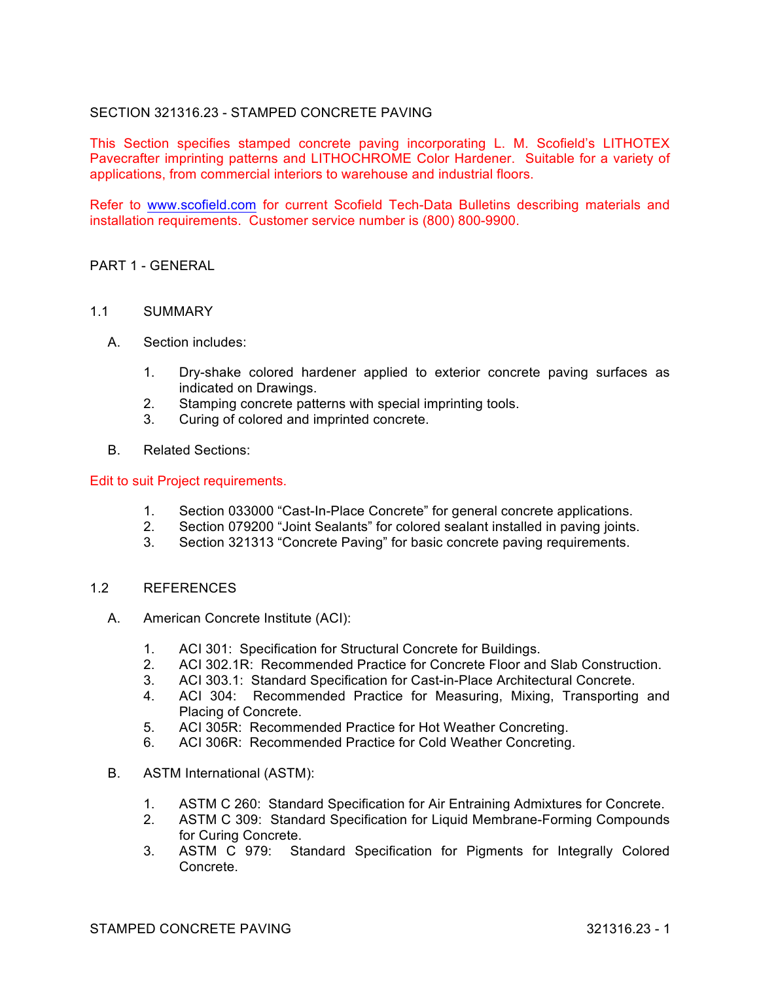# SECTION 321316.23 - STAMPED CONCRETE PAVING

This Section specifies stamped concrete paving incorporating L. M. Scofield's LITHOTEX Pavecrafter imprinting patterns and LITHOCHROME Color Hardener. Suitable for a variety of applications, from commercial interiors to warehouse and industrial floors.

Refer to www.scofield.com for current Scofield Tech-Data Bulletins describing materials and installation requirements. Customer service number is (800) 800-9900.

### PART 1 - GENERAL

#### 1.1 SUMMARY

- A. Section includes:
	- 1. Dry-shake colored hardener applied to exterior concrete paving surfaces as indicated on Drawings.
	- 2. Stamping concrete patterns with special imprinting tools.
	- 3. Curing of colored and imprinted concrete.
- B. Related Sections:

#### Edit to suit Project requirements.

- 1. Section 033000 "Cast-In-Place Concrete" for general concrete applications.
- 2. Section 079200 "Joint Sealants" for colored sealant installed in paving joints.
- 3. Section 321313 "Concrete Paving" for basic concrete paving requirements.

### 1.2 REFERENCES

- A. American Concrete Institute (ACI):
	- 1. ACI 301: Specification for Structural Concrete for Buildings.
	- 2. ACI 302.1R: Recommended Practice for Concrete Floor and Slab Construction.
	- 3. ACI 303.1: Standard Specification for Cast-in-Place Architectural Concrete.
	- 4. ACI 304: Recommended Practice for Measuring, Mixing, Transporting and Placing of Concrete.
	- 5. ACI 305R: Recommended Practice for Hot Weather Concreting.
	- 6. ACI 306R: Recommended Practice for Cold Weather Concreting.
- B. ASTM International (ASTM):
	- 1. ASTM C 260: Standard Specification for Air Entraining Admixtures for Concrete.
	- 2. ASTM C 309: Standard Specification for Liquid Membrane-Forming Compounds for Curing Concrete.
	- 3. ASTM C 979: Standard Specification for Pigments for Integrally Colored Concrete.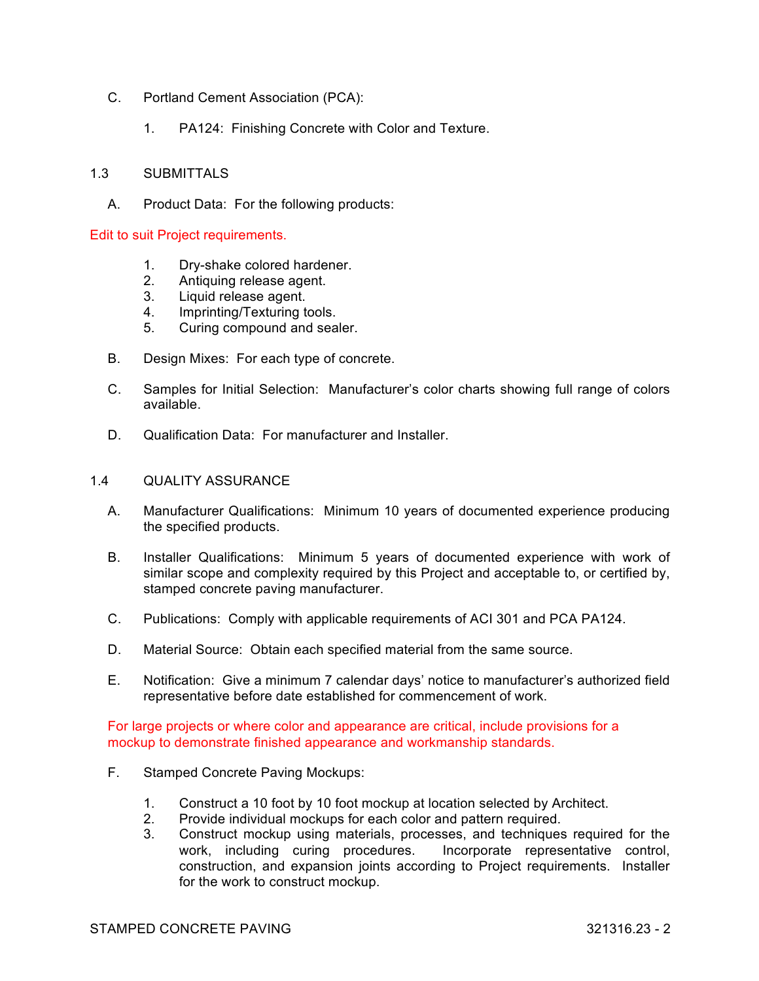- C. Portland Cement Association (PCA):
	- 1. PA124: Finishing Concrete with Color and Texture.

### 1.3 SUBMITTALS

A. Product Data: For the following products:

#### Edit to suit Project requirements.

- 1. Dry-shake colored hardener.
- 2. Antiquing release agent.<br>3. Liquid release agent.
- Liquid release agent.
- 4. Imprinting/Texturing tools.
- 5. Curing compound and sealer.
- B. Design Mixes: For each type of concrete.
- C. Samples for Initial Selection: Manufacturer's color charts showing full range of colors available.
- D. Qualification Data: For manufacturer and Installer.

#### 1.4 QUALITY ASSURANCE

- A. Manufacturer Qualifications: Minimum 10 years of documented experience producing the specified products.
- B. Installer Qualifications: Minimum 5 years of documented experience with work of similar scope and complexity required by this Project and acceptable to, or certified by, stamped concrete paving manufacturer.
- C. Publications: Comply with applicable requirements of ACI 301 and PCA PA124.
- D. Material Source: Obtain each specified material from the same source.
- E. Notification: Give a minimum 7 calendar days' notice to manufacturer's authorized field representative before date established for commencement of work.

For large projects or where color and appearance are critical, include provisions for a mockup to demonstrate finished appearance and workmanship standards.

- F. Stamped Concrete Paving Mockups:
	- 1. Construct a 10 foot by 10 foot mockup at location selected by Architect.
	- 2. Provide individual mockups for each color and pattern required.
	- 3. Construct mockup using materials, processes, and techniques required for the work, including curing procedures. Incorporate representative control, construction, and expansion joints according to Project requirements. Installer for the work to construct mockup.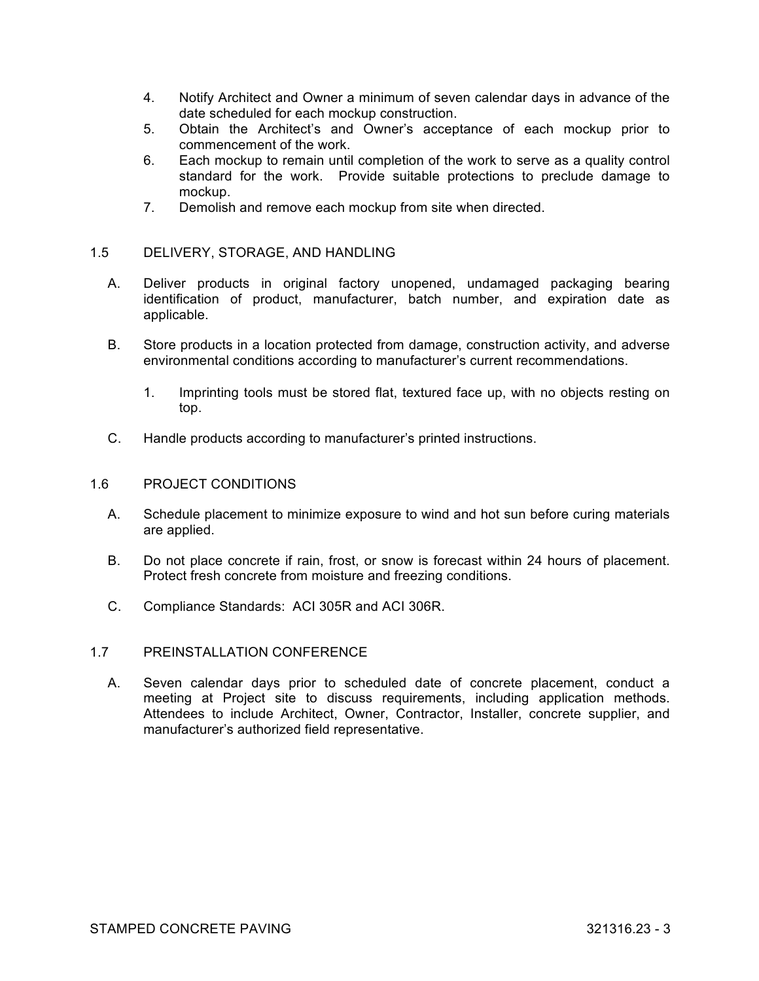- 4. Notify Architect and Owner a minimum of seven calendar days in advance of the date scheduled for each mockup construction.
- 5. Obtain the Architect's and Owner's acceptance of each mockup prior to commencement of the work.
- 6. Each mockup to remain until completion of the work to serve as a quality control standard for the work. Provide suitable protections to preclude damage to mockup.
- 7. Demolish and remove each mockup from site when directed.

# 1.5 DELIVERY, STORAGE, AND HANDLING

- A. Deliver products in original factory unopened, undamaged packaging bearing identification of product, manufacturer, batch number, and expiration date as applicable.
- B. Store products in a location protected from damage, construction activity, and adverse environmental conditions according to manufacturer's current recommendations.
	- 1. Imprinting tools must be stored flat, textured face up, with no objects resting on top.
- C. Handle products according to manufacturer's printed instructions.

### 1.6 PROJECT CONDITIONS

- A. Schedule placement to minimize exposure to wind and hot sun before curing materials are applied.
- B. Do not place concrete if rain, frost, or snow is forecast within 24 hours of placement. Protect fresh concrete from moisture and freezing conditions.
- C. Compliance Standards: ACI 305R and ACI 306R.

### 1.7 PREINSTALLATION CONFERENCE

A. Seven calendar days prior to scheduled date of concrete placement, conduct a meeting at Project site to discuss requirements, including application methods. Attendees to include Architect, Owner, Contractor, Installer, concrete supplier, and manufacturer's authorized field representative.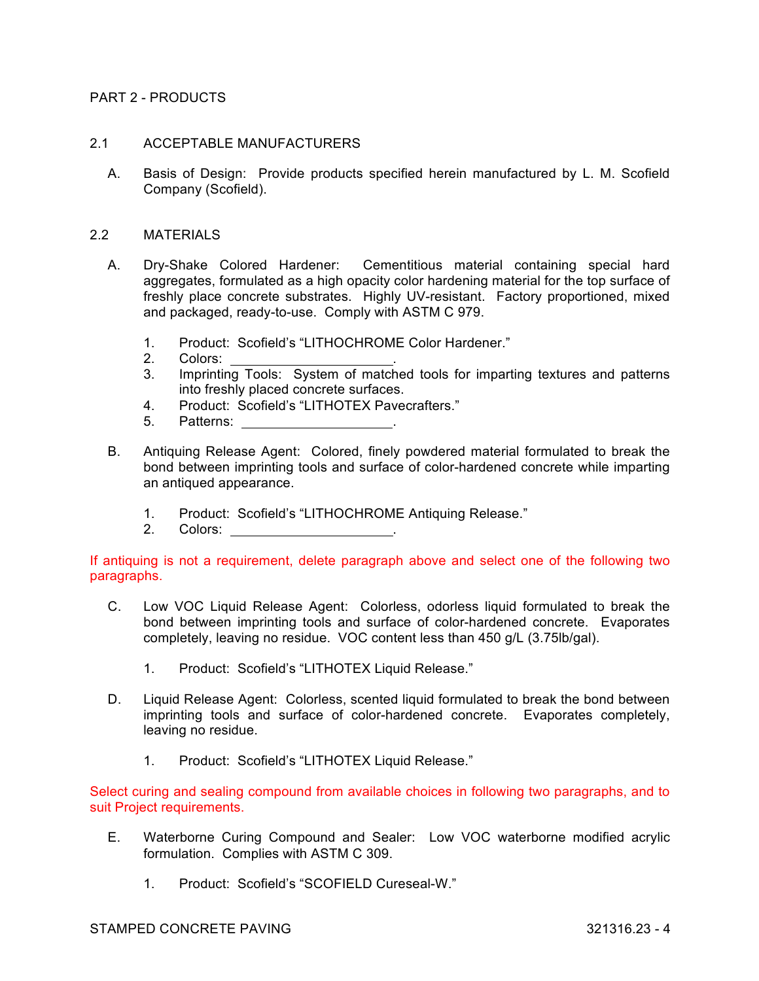## PART 2 - PRODUCTS

### 2.1 ACCEPTABLE MANUFACTURERS

A. Basis of Design: Provide products specified herein manufactured by L. M. Scofield Company (Scofield).

#### 2.2 MATERIALS

- A. Dry-Shake Colored Hardener: Cementitious material containing special hard aggregates, formulated as a high opacity color hardening material for the top surface of freshly place concrete substrates. Highly UV-resistant. Factory proportioned, mixed and packaged, ready-to-use. Comply with ASTM C 979.
	- 1. Product: Scofield's "LITHOCHROME Color Hardener."
	- 2. Colors:
	- 3. Imprinting Tools: System of matched tools for imparting textures and patterns into freshly placed concrete surfaces.
	- 4. Product: Scofield's "LITHOTEX Pavecrafters."
	- Patterns:
- B. Antiquing Release Agent: Colored, finely powdered material formulated to break the bond between imprinting tools and surface of color-hardened concrete while imparting an antiqued appearance.
	- 1. Product: Scofield's "LITHOCHROME Antiquing Release."
	- 2. Colors:

If antiquing is not a requirement, delete paragraph above and select one of the following two paragraphs.

- C. Low VOC Liquid Release Agent: Colorless, odorless liquid formulated to break the bond between imprinting tools and surface of color-hardened concrete. Evaporates completely, leaving no residue. VOC content less than 450 g/L (3.75lb/gal).
	- 1. Product: Scofield's "LITHOTEX Liquid Release."
- D. Liquid Release Agent: Colorless, scented liquid formulated to break the bond between imprinting tools and surface of color-hardened concrete. Evaporates completely, leaving no residue.
	- 1. Product: Scofield's "LITHOTEX Liquid Release."

Select curing and sealing compound from available choices in following two paragraphs, and to suit Project requirements.

- E. Waterborne Curing Compound and Sealer: Low VOC waterborne modified acrylic formulation. Complies with ASTM C 309.
	- 1. Product: Scofield's "SCOFIELD Cureseal-W."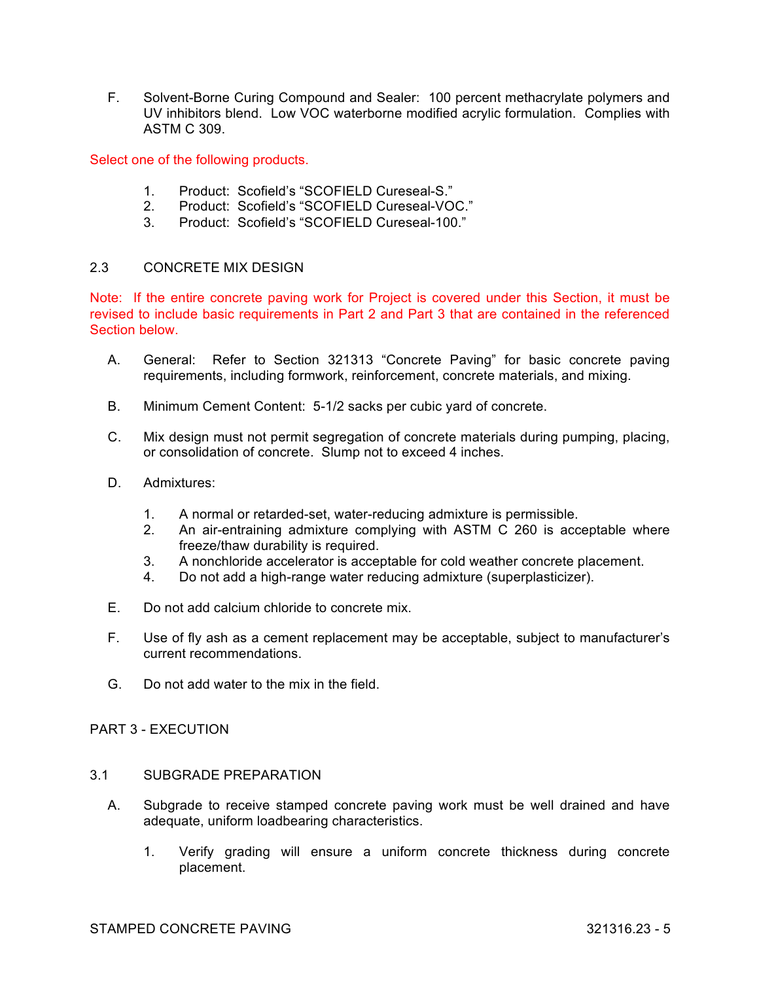F. Solvent-Borne Curing Compound and Sealer: 100 percent methacrylate polymers and UV inhibitors blend. Low VOC waterborne modified acrylic formulation. Complies with ASTM C 309.

Select one of the following products.

- 1. Product: Scofield's "SCOFIELD Cureseal-S."
- 2. Product: Scofield's "SCOFIELD Cureseal-VOC."
- 3. Product: Scofield's "SCOFIELD Cureseal-100."

# 2.3 CONCRETE MIX DESIGN

Note: If the entire concrete paving work for Project is covered under this Section, it must be revised to include basic requirements in Part 2 and Part 3 that are contained in the referenced Section below.

- A. General: Refer to Section 321313 "Concrete Paving" for basic concrete paving requirements, including formwork, reinforcement, concrete materials, and mixing.
- B. Minimum Cement Content: 5-1/2 sacks per cubic yard of concrete.
- C. Mix design must not permit segregation of concrete materials during pumping, placing, or consolidation of concrete. Slump not to exceed 4 inches.
- D. Admixtures:
	- 1. A normal or retarded-set, water-reducing admixture is permissible.
	- 2. An air-entraining admixture complying with ASTM C 260 is acceptable where freeze/thaw durability is required.
	- 3. A nonchloride accelerator is acceptable for cold weather concrete placement.
	- 4. Do not add a high-range water reducing admixture (superplasticizer).
- E. Do not add calcium chloride to concrete mix.
- F. Use of fly ash as a cement replacement may be acceptable, subject to manufacturer's current recommendations.
- G. Do not add water to the mix in the field.

### PART 3 - EXECUTION

# 3.1 SUBGRADE PREPARATION

- A. Subgrade to receive stamped concrete paving work must be well drained and have adequate, uniform loadbearing characteristics.
	- 1. Verify grading will ensure a uniform concrete thickness during concrete placement.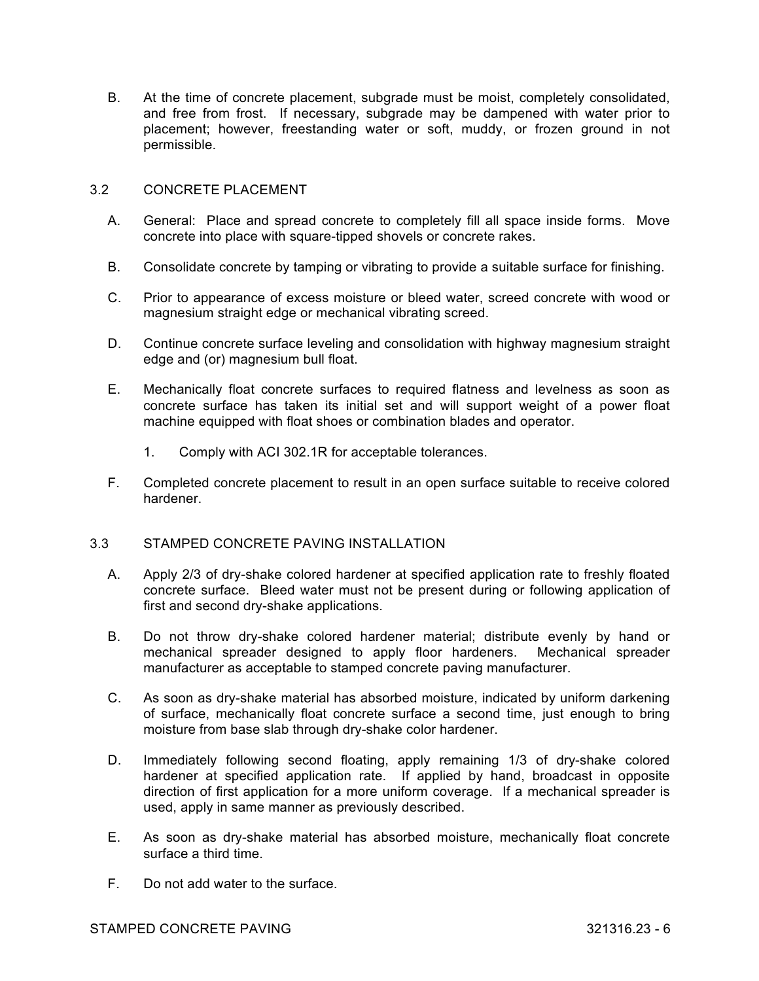B. At the time of concrete placement, subgrade must be moist, completely consolidated, and free from frost. If necessary, subgrade may be dampened with water prior to placement; however, freestanding water or soft, muddy, or frozen ground in not permissible.

# 3.2 CONCRETE PLACEMENT

- A. General: Place and spread concrete to completely fill all space inside forms. Move concrete into place with square-tipped shovels or concrete rakes.
- B. Consolidate concrete by tamping or vibrating to provide a suitable surface for finishing.
- C. Prior to appearance of excess moisture or bleed water, screed concrete with wood or magnesium straight edge or mechanical vibrating screed.
- D. Continue concrete surface leveling and consolidation with highway magnesium straight edge and (or) magnesium bull float.
- E. Mechanically float concrete surfaces to required flatness and levelness as soon as concrete surface has taken its initial set and will support weight of a power float machine equipped with float shoes or combination blades and operator.
	- 1. Comply with ACI 302.1R for acceptable tolerances.
- F. Completed concrete placement to result in an open surface suitable to receive colored hardener.

# 3.3 STAMPED CONCRETE PAVING INSTALLATION

- A. Apply 2/3 of dry-shake colored hardener at specified application rate to freshly floated concrete surface. Bleed water must not be present during or following application of first and second dry-shake applications.
- B. Do not throw dry-shake colored hardener material; distribute evenly by hand or mechanical spreader designed to apply floor hardeners. Mechanical spreader manufacturer as acceptable to stamped concrete paving manufacturer.
- C. As soon as dry-shake material has absorbed moisture, indicated by uniform darkening of surface, mechanically float concrete surface a second time, just enough to bring moisture from base slab through dry-shake color hardener.
- D. Immediately following second floating, apply remaining 1/3 of dry-shake colored hardener at specified application rate. If applied by hand, broadcast in opposite direction of first application for a more uniform coverage. If a mechanical spreader is used, apply in same manner as previously described.
- E. As soon as dry-shake material has absorbed moisture, mechanically float concrete surface a third time.
- F. Do not add water to the surface.